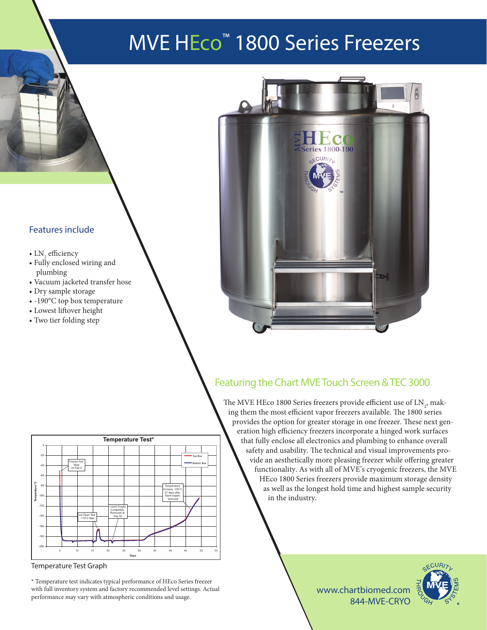# MVE HEco™ 1800 Series Freezers

## Features include

- $LN<sub>2</sub>$  efficiency
- Fully enclosed wiring and plumbing
- Vacuum jacketed transfer hose
- Dry sample storage
- -190°C top box temperature
- Lowest liftover height
- Two tier folding step



#### **Temperature Test\*** 0 -20 Top Box Freezer first Bottom Box -40 filled on Day 0 -60 ennerature<sup>°</sup> **Temperature °C** -80 Temperature Crosses -135°C 27 days after -100 liquid supply removed -120 Liquid Supply Completely Removed at Lid Open Test -140 Day 22 -170°C Max -160 -180 -200 5 10 15 20 25 30 35 40 45 50 55 **Days**

Temperature Test Graph

\* Temperature test indicates typical performance of HEco Series freezer with full inventory system and factory recommended level settings. Actual performance may vary with atmospheric conditions and usage.

## Featuring the Chart MVE Touch Screen & TEC 3000

The MVE HEco 1800 Series freezers provide efficient use of  $\mathrm{LN}_\mathrm{_2}\mathrm{,}\,$  making them the most efficient vapor freezers available. The 1800 series provides the option for greater storage in one freezer. These next generation high efficiency freezers incorporate a hinged work surfaces that fully enclose all electronics and plumbing to enhance overall safety and usability. The technical and visual improvements provide an aesthetically more pleasing freezer while offering greater functionality. As with all of MVE's cryogenic freezers, the MVE HEco 1800 Series freezers provide maximum storage density as well as the longest hold time and highest sample security in the industry.



www.chartbiomed.com 844-MVE-CRYO